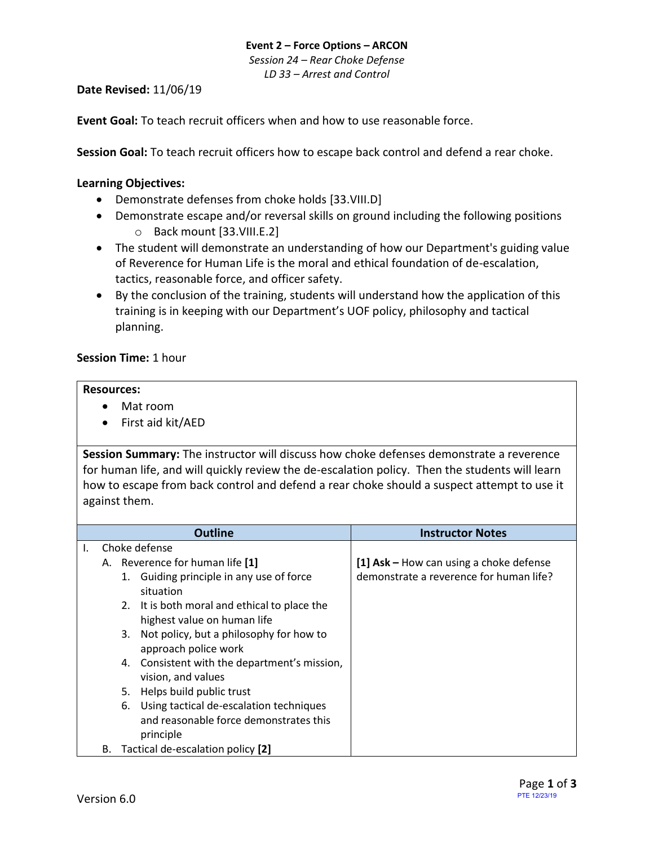## **Event 2 – Force Options – ARCON** *Session 24 – Rear Choke Defense LD 33 – Arrest and Control*

## **Date Revised:** 11/06/19

**Event Goal:** To teach recruit officers when and how to use reasonable force.

**Session Goal:** To teach recruit officers how to escape back control and defend a rear choke.

### <span id="page-0-0"></span>**Learning Objectives:**

- [Demonstrate defenses from choke holds](#page-1-0) [33.VIII.D]
- Demonstrate escape and/or reversal skills on ground including the following positions o [Back mount \[33.VIII.E.2\]](#page-1-1)
- The student will demonstrate an understanding of how our Department's guiding value of Reverence for Human Life is the moral and ethical foundation of de-escalation, tactics, reasonable force, and officer safety.
- By the conclusion of the training, students will understand how the application of this training is in keeping with our Department's UOF policy, philosophy and tactical planning.

#### **Session Time:** 1 hour

#### **Resources:**

- Mat room
- First aid kit/AED

**Session Summary:** The instructor will discuss how choke defenses demonstrate a reverence for human life, and will quickly review the de-escalation policy. Then the students will learn how to escape from back control and defend a rear choke should a suspect attempt to use it against them.

|    |                                         | <b>Outline</b>                                                                                    | <b>Instructor Notes</b>                    |
|----|-----------------------------------------|---------------------------------------------------------------------------------------------------|--------------------------------------------|
| I. |                                         | Choke defense                                                                                     |                                            |
|    | A. Reverence for human life [1]         |                                                                                                   | [1] $Ask - How can using a choice defense$ |
|    |                                         | 1. Guiding principle in any use of force<br>situation                                             | demonstrate a reverence for human life?    |
|    |                                         | 2. It is both moral and ethical to place the<br>highest value on human life                       |                                            |
|    |                                         | Not policy, but a philosophy for how to<br>3.<br>approach police work                             |                                            |
|    |                                         | 4. Consistent with the department's mission,<br>vision, and values                                |                                            |
|    |                                         | Helps build public trust<br>5.                                                                    |                                            |
|    |                                         | 6. Using tactical de-escalation techniques<br>and reasonable force demonstrates this<br>principle |                                            |
|    | Tactical de-escalation policy [2]<br>В. |                                                                                                   |                                            |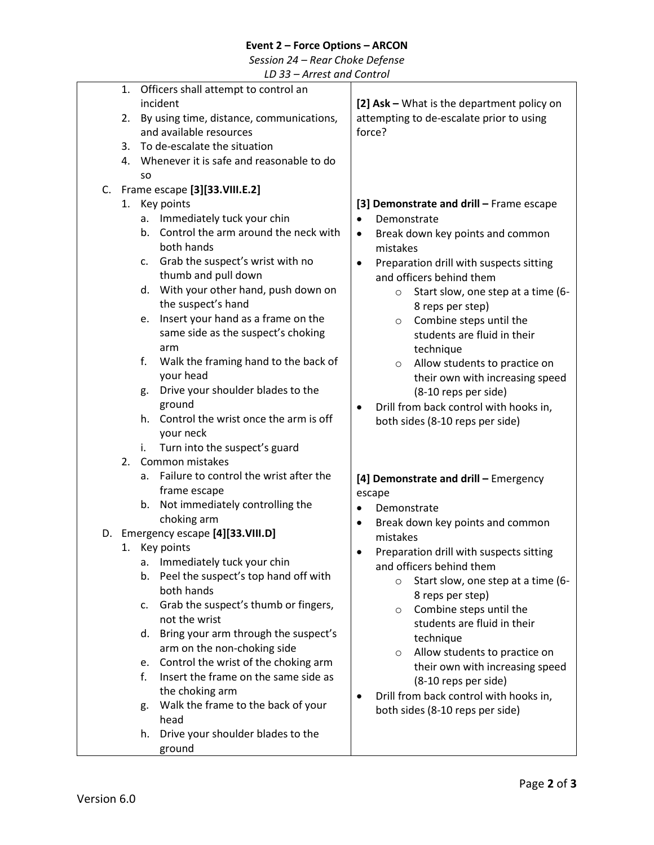## **Event 2 – Force Options – ARCON**

*Session 24 – Rear Choke Defense*

*LD 33 – Arrest and Control*

<span id="page-1-1"></span><span id="page-1-0"></span>

|    |     | 1. Officers shall attempt to control an     |           |                                               |
|----|-----|---------------------------------------------|-----------|-----------------------------------------------|
|    |     | incident                                    |           | [2] Ask - What is the department policy on    |
|    |     | 2. By using time, distance, communications, |           | attempting to de-escalate prior to using      |
|    |     | and available resources                     |           | force?                                        |
|    |     | 3. To de-escalate the situation             |           |                                               |
|    |     |                                             |           |                                               |
|    |     | 4. Whenever it is safe and reasonable to do |           |                                               |
|    | SO. |                                             |           |                                               |
| C. |     | Frame escape [3][33.VIII.E.2]               |           |                                               |
|    | 1.  | Key points                                  |           | [3] Demonstrate and drill - Frame escape      |
|    |     | a. Immediately tuck your chin               | $\bullet$ | Demonstrate                                   |
|    | b.  | Control the arm around the neck with        | $\bullet$ | Break down key points and common              |
|    |     | both hands                                  |           | mistakes                                      |
|    |     | c. Grab the suspect's wrist with no         | $\bullet$ | Preparation drill with suspects sitting       |
|    |     | thumb and pull down                         |           | and officers behind them                      |
|    |     | d. With your other hand, push down on       |           | Start slow, one step at a time (6-<br>$\circ$ |
|    |     | the suspect's hand                          |           | 8 reps per step)                              |
|    | e.  | Insert your hand as a frame on the          |           | Combine steps until the<br>$\circ$            |
|    |     | same side as the suspect's choking          |           | students are fluid in their                   |
|    |     | arm                                         |           | technique                                     |
|    | f.  | Walk the framing hand to the back of        |           |                                               |
|    |     | your head                                   |           | Allow students to practice on<br>$\circ$      |
|    |     |                                             |           | their own with increasing speed               |
|    | g.  | Drive your shoulder blades to the           |           | (8-10 reps per side)                          |
|    |     | ground                                      | $\bullet$ | Drill from back control with hooks in,        |
|    |     | h. Control the wrist once the arm is off    |           | both sides (8-10 reps per side)               |
|    |     | your neck                                   |           |                                               |
|    | i.  | Turn into the suspect's guard               |           |                                               |
|    | 2.  | Common mistakes                             |           |                                               |
|    | a.  | Failure to control the wrist after the      |           | [4] Demonstrate and drill - Emergency         |
|    |     | frame escape                                |           | escape                                        |
|    |     | b. Not immediately controlling the          | $\bullet$ | Demonstrate                                   |
|    |     | choking arm                                 | $\bullet$ | Break down key points and common              |
|    |     | D. Emergency escape [4][33.VIII.D]          |           | mistakes                                      |
|    |     | 1. Key points                               |           | Preparation drill with suspects sitting       |
|    | а.  | Immediately tuck your chin                  |           | and officers behind them                      |
|    | b.  | Peel the suspect's top hand off with        |           | Start slow, one step at a time (6-<br>$\circ$ |
|    |     | both hands                                  |           | 8 reps per step)                              |
|    | c.  | Grab the suspect's thumb or fingers,        |           |                                               |
|    |     | not the wrist                               |           | Combine steps until the<br>$\circ$            |
|    | d.  | Bring your arm through the suspect's        |           | students are fluid in their                   |
|    |     | arm on the non-choking side                 |           | technique                                     |
|    | e.  | Control the wrist of the choking arm        |           | Allow students to practice on<br>$\circ$      |
|    | f.  | Insert the frame on the same side as        |           | their own with increasing speed               |
|    |     |                                             |           | (8-10 reps per side)                          |
|    |     | the choking arm                             |           | Drill from back control with hooks in,        |
|    | g.  | Walk the frame to the back of your          |           | both sides (8-10 reps per side)               |
|    |     | head                                        |           |                                               |
|    | h.  | Drive your shoulder blades to the           |           |                                               |
|    |     | ground                                      |           |                                               |